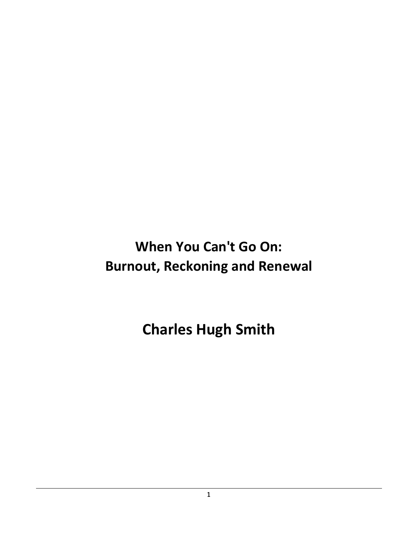**When You Can't Go On: Burnout, Reckoning and Renewal**

**Charles Hugh Smith**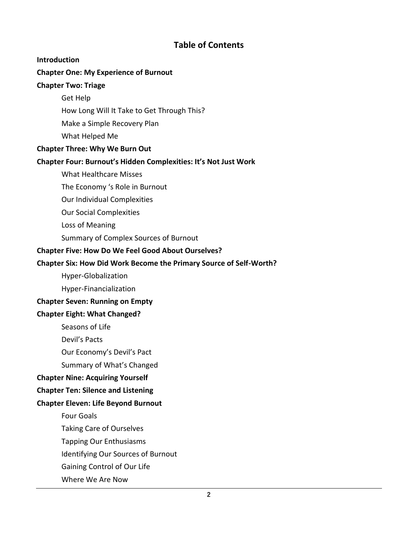### **Table of Contents**

#### **Introduction**

#### **Chapter One: My Experience of Burnout**

#### **Chapter Two: Triage**

Get Help

How Long Will It Take to Get Through This?

Make a Simple Recovery Plan

What Helped Me

#### **Chapter Three: Why We Burn Out**

#### **Chapter Four: Burnout's Hidden Complexities: It's Not Just Work**

What Healthcare Misses

The Economy 's Role in Burnout

Our Individual Complexities

Our Social Complexities

Loss of Meaning

Summary of Complex Sources of Burnout

#### **Chapter Five: How Do We Feel Good About Ourselves?**

#### **Chapter Six: How Did Work Become the Primary Source of Self-Worth?**

Hyper-Globalization

Hyper-Financialization

#### **Chapter Seven: Running on Empty**

#### **Chapter Eight: What Changed?**

Seasons of Life

Devil's Pacts

Our Economy's Devil's Pact

Summary of What's Changed

#### **Chapter Nine: Acquiring Yourself**

#### **Chapter Ten: Silence and Listening**

#### **Chapter Eleven: Life Beyond Burnout**

Four Goals

Taking Care of Ourselves

Tapping Our Enthusiasms

Identifying Our Sources of Burnout

Gaining Control of Our Life

Where We Are Now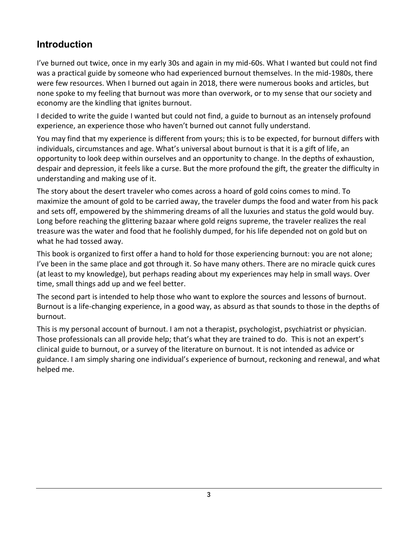## **Introduction**

I've burned out twice, once in my early 30s and again in my mid-60s. What I wanted but could not find was a practical guide by someone who had experienced burnout themselves. In the mid-1980s, there were few resources. When I burned out again in 2018, there were numerous books and articles, but none spoke to my feeling that burnout was more than overwork, or to my sense that our society and economy are the kindling that ignites burnout.

I decided to write the guide I wanted but could not find, a guide to burnout as an intensely profound experience, an experience those who haven't burned out cannot fully understand.

You may find that my experience is different from yours; this is to be expected, for burnout differs with individuals, circumstances and age. What's universal about burnout is that it is a gift of life, an opportunity to look deep within ourselves and an opportunity to change. In the depths of exhaustion, despair and depression, it feels like a curse. But the more profound the gift, the greater the difficulty in understanding and making use of it.

The story about the desert traveler who comes across a hoard of gold coins comes to mind. To maximize the amount of gold to be carried away, the traveler dumps the food and water from his pack and sets off, empowered by the shimmering dreams of all the luxuries and status the gold would buy. Long before reaching the glittering bazaar where gold reigns supreme, the traveler realizes the real treasure was the water and food that he foolishly dumped, for his life depended not on gold but on what he had tossed away.

This book is organized to first offer a hand to hold for those experiencing burnout: you are not alone; I've been in the same place and got through it. So have many others. There are no miracle quick cures (at least to my knowledge), but perhaps reading about my experiences may help in small ways. Over time, small things add up and we feel better.

The second part is intended to help those who want to explore the sources and lessons of burnout. Burnout is a life-changing experience, in a good way, as absurd as that sounds to those in the depths of burnout.

This is my personal account of burnout. I am not a therapist, psychologist, psychiatrist or physician. Those professionals can all provide help; that's what they are trained to do. This is not an expert's clinical guide to burnout, or a survey of the literature on burnout. It is not intended as advice or guidance. I am simply sharing one individual's experience of burnout, reckoning and renewal, and what helped me.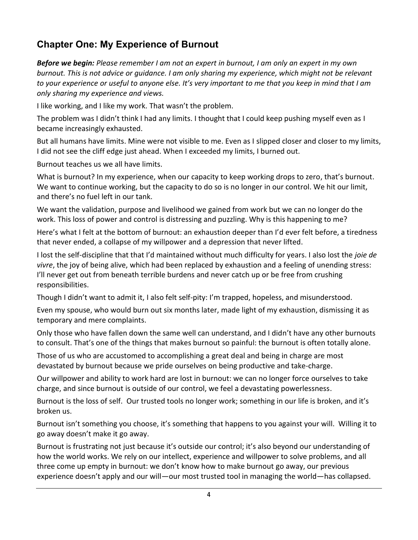# **Chapter One: My Experience of Burnout**

*Before we begin: Please remember I am not an expert in burnout, I am only an expert in my own burnout. This is not advice or guidance. I am only sharing my experience, which might not be relevant to your experience or useful to anyone else. It's very important to me that you keep in mind that I am only sharing my experience and views.*

I like working, and I like my work. That wasn't the problem.

The problem was I didn't think I had any limits. I thought that I could keep pushing myself even as I became increasingly exhausted.

But all humans have limits. Mine were not visible to me. Even as I slipped closer and closer to my limits, I did not see the cliff edge just ahead. When I exceeded my limits, I burned out.

Burnout teaches us we all have limits.

What is burnout? In my experience, when our capacity to keep working drops to zero, that's burnout. We want to continue working, but the capacity to do so is no longer in our control. We hit our limit, and there's no fuel left in our tank.

We want the validation, purpose and livelihood we gained from work but we can no longer do the work. This loss of power and control is distressing and puzzling. Why is this happening to me?

Here's what I felt at the bottom of burnout: an exhaustion deeper than I'd ever felt before, a tiredness that never ended, a collapse of my willpower and a depression that never lifted.

I lost the self-discipline that that I'd maintained without much difficulty for years. I also lost the *joie de vivre*, the joy of being alive, which had been replaced by exhaustion and a feeling of unending stress: I'll never get out from beneath terrible burdens and never catch up or be free from crushing responsibilities.

Though I didn't want to admit it, I also felt self-pity: I'm trapped, hopeless, and misunderstood.

Even my spouse, who would burn out six months later, made light of my exhaustion, dismissing it as temporary and mere complaints.

Only those who have fallen down the same well can understand, and I didn't have any other burnouts to consult. That's one of the things that makes burnout so painful: the burnout is often totally alone.

Those of us who are accustomed to accomplishing a great deal and being in charge are most devastated by burnout because we pride ourselves on being productive and take-charge.

Our willpower and ability to work hard are lost in burnout: we can no longer force ourselves to take charge, and since burnout is outside of our control, we feel a devastating powerlessness.

Burnout is the loss of self. Our trusted tools no longer work; something in our life is broken, and it's broken us.

Burnout isn't something you choose, it's something that happens to you against your will. Willing it to go away doesn't make it go away.

Burnout is frustrating not just because it's outside our control; it's also beyond our understanding of how the world works. We rely on our intellect, experience and willpower to solve problems, and all three come up empty in burnout: we don't know how to make burnout go away, our previous experience doesn't apply and our will—our most trusted tool in managing the world—has collapsed.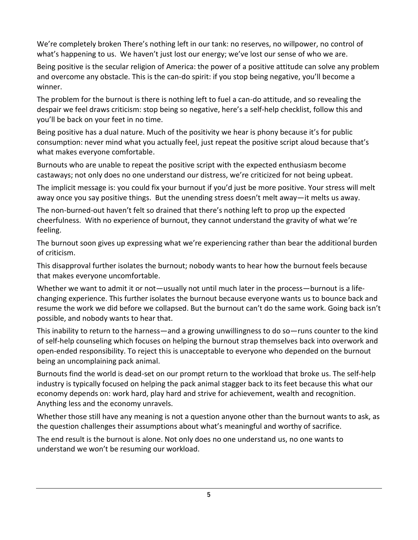We're completely broken There's nothing left in our tank: no reserves, no willpower, no control of what's happening to us. We haven't just lost our energy; we've lost our sense of who we are.

Being positive is the secular religion of America: the power of a positive attitude can solve any problem and overcome any obstacle. This is the can-do spirit: if you stop being negative, you'll become a winner.

The problem for the burnout is there is nothing left to fuel a can-do attitude, and so revealing the despair we feel draws criticism: stop being so negative, here's a self-help checklist, follow this and you'll be back on your feet in no time.

Being positive has a dual nature. Much of the positivity we hear is phony because it's for public consumption: never mind what you actually feel, just repeat the positive script aloud because that's what makes everyone comfortable.

Burnouts who are unable to repeat the positive script with the expected enthusiasm become castaways; not only does no one understand our distress, we're criticized for not being upbeat.

The implicit message is: you could fix your burnout if you'd just be more positive. Your stress will melt away once you say positive things. But the unending stress doesn't melt away—it melts us away.

The non-burned-out haven't felt so drained that there's nothing left to prop up the expected cheerfulness. With no experience of burnout, they cannot understand the gravity of what we're feeling.

The burnout soon gives up expressing what we're experiencing rather than bear the additional burden of criticism.

This disapproval further isolates the burnout; nobody wants to hear how the burnout feels because that makes everyone uncomfortable.

Whether we want to admit it or not—usually not until much later in the process—burnout is a lifechanging experience. This further isolates the burnout because everyone wants us to bounce back and resume the work we did before we collapsed. But the burnout can't do the same work. Going back isn't possible, and nobody wants to hear that.

This inability to return to the harness—and a growing unwillingness to do so—runs counter to the kind of self-help counseling which focuses on helping the burnout strap themselves back into overwork and open-ended responsibility. To reject this is unacceptable to everyone who depended on the burnout being an uncomplaining pack animal.

Burnouts find the world is dead-set on our prompt return to the workload that broke us. The self-help industry is typically focused on helping the pack animal stagger back to its feet because this what our economy depends on: work hard, play hard and strive for achievement, wealth and recognition. Anything less and the economy unravels.

Whether those still have any meaning is not a question anyone other than the burnout wants to ask, as the question challenges their assumptions about what's meaningful and worthy of sacrifice.

The end result is the burnout is alone. Not only does no one understand us, no one wants to understand we won't be resuming our workload.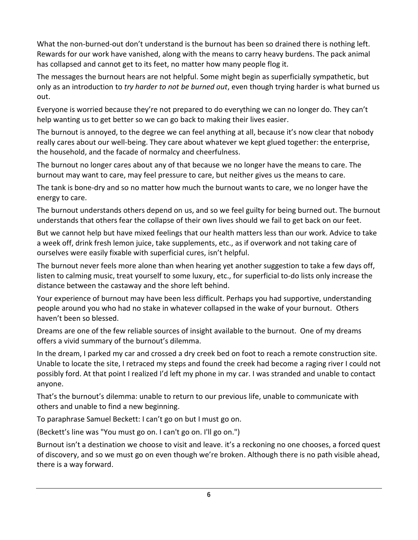What the non-burned-out don't understand is the burnout has been so drained there is nothing left. Rewards for our work have vanished, along with the means to carry heavy burdens. The pack animal has collapsed and cannot get to its feet, no matter how many people flog it.

The messages the burnout hears are not helpful. Some might begin as superficially sympathetic, but only as an introduction to *try harder to not be burned out*, even though trying harder is what burned us out.

Everyone is worried because they're not prepared to do everything we can no longer do. They can't help wanting us to get better so we can go back to making their lives easier.

The burnout is annoyed, to the degree we can feel anything at all, because it's now clear that nobody really cares about our well-being. They care about whatever we kept glued together: the enterprise, the household, and the facade of normalcy and cheerfulness.

The burnout no longer cares about any of that because we no longer have the means to care. The burnout may want to care, may feel pressure to care, but neither gives us the means to care.

The tank is bone-dry and so no matter how much the burnout wants to care, we no longer have the energy to care.

The burnout understands others depend on us, and so we feel guilty for being burned out. The burnout understands that others fear the collapse of their own lives should we fail to get back on our feet.

But we cannot help but have mixed feelings that our health matters less than our work. Advice to take a week off, drink fresh lemon juice, take supplements, etc., as if overwork and not taking care of ourselves were easily fixable with superficial cures, isn't helpful.

The burnout never feels more alone than when hearing yet another suggestion to take a few days off, listen to calming music, treat yourself to some luxury, etc., for superficial to-do lists only increase the distance between the castaway and the shore left behind.

Your experience of burnout may have been less difficult. Perhaps you had supportive, understanding people around you who had no stake in whatever collapsed in the wake of your burnout. Others haven't been so blessed.

Dreams are one of the few reliable sources of insight available to the burnout. One of my dreams offers a vivid summary of the burnout's dilemma.

In the dream, I parked my car and crossed a dry creek bed on foot to reach a remote construction site. Unable to locate the site, I retraced my steps and found the creek had become a raging river I could not possibly ford. At that point I realized I'd left my phone in my car. I was stranded and unable to contact anyone.

That's the burnout's dilemma: unable to return to our previous life, unable to communicate with others and unable to find a new beginning.

To paraphrase Samuel Beckett: I can't go on but I must go on.

(Beckett's line was "You must go on. I can't go on. I'll go on.")

Burnout isn't a destination we choose to visit and leave. it's a reckoning no one chooses, a forced quest of discovery, and so we must go on even though we're broken. Although there is no path visible ahead, there is a way forward.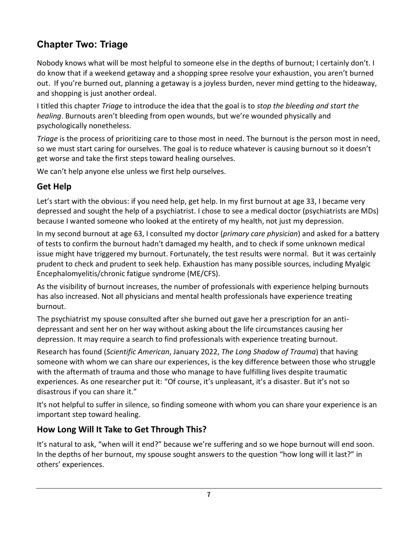# **Chapter Two: Triage**

Nobody knows what will be most helpful to someone else in the depths of burnout; I certainly don't. I do know that if a weekend getaway and a shopping spree resolve your exhaustion, you aren't burned out. If you're burned out, planning a getaway is a joyless burden, never mind getting to the hideaway, and shopping is just another ordeal.

I titled this chapter *Triage* to introduce the idea that the goal is to *stop the bleeding and start the healing*. Burnouts aren't bleeding from open wounds, but we're wounded physically and psychologically nonetheless.

*Triage* is the process of prioritizing care to those most in need. The burnout is the person most in need, so we must start caring for ourselves. The goal is to reduce whatever is causing burnout so it doesn't get worse and take the first steps toward healing ourselves.

We can't help anyone else unless we first help ourselves.

## **Get Help**

Let's start with the obvious: if you need help, get help. In my first burnout at age 33, I became very depressed and sought the help of a psychiatrist. I chose to see a medical doctor (psychiatrists are MDs) because I wanted someone who looked at the entirety of my health, not just my depression.

In my second burnout at age 63, I consulted my doctor (*primary care physician*) and asked for a battery of tests to confirm the burnout hadn't damaged my health, and to check if some unknown medical issue might have triggered my burnout. Fortunately, the test results were normal. But it was certainly prudent to check and prudent to seek help. Exhaustion has many possible sources, including Myalgic Encephalomyelitis/chronic fatigue syndrome (ME/CFS).

As the visibility of burnout increases, the number of professionals with experience helping burnouts has also increased. Not all physicians and mental health professionals have experience treating burnout.

The psychiatrist my spouse consulted after she burned out gave her a prescription for an antidepressant and sent her on her way without asking about the life circumstances causing her depression. It may require a search to find professionals with experience treating burnout.

Research has found (*Scientific American*, January 2022, *The Long Shadow of Trauma*) that having someone with whom we can share our experiences, is the key difference between those who struggle with the aftermath of trauma and those who manage to have fulfilling lives despite traumatic experiences. As one researcher put it: "Of course, it's unpleasant, it's a disaster. But it's not so disastrous if you can share it."

It's not helpful to suffer in silence, so finding someone with whom you can share your experience is an important step toward healing.

## **How Long Will It Take to Get Through This?**

It's natural to ask, "when will it end?" because we're suffering and so we hope burnout will end soon. In the depths of her burnout, my spouse sought answers to the question "how long will it last?" in others' experiences.